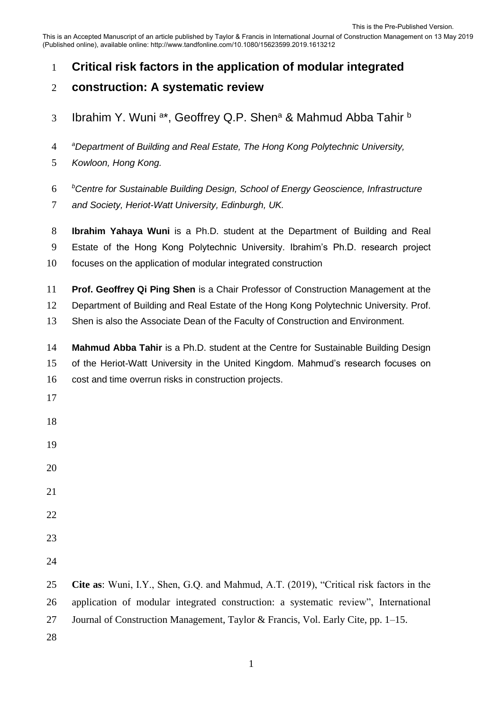This is an Accepted Manuscript of an article published by Taylor & Francis in International Journal of Construction Management on 13 May 2019 (Published online), available online: http://www.tandfonline.com/10.1080/15623599.2019.1613212

- **Critical risk factors in the application of modular integrated**
- **construction: A systematic review**
- Ibrahim Y. Wuni <sup>a\*</sup>, Geoffrey Q.P. Shen<sup>a</sup> & Mahmud Abba Tahir <sup>b</sup>
- *a Department of Building and Real Estate, The Hong Kong Polytechnic University,*
- *Kowloon, Hong Kong.*

*b Centre for Sustainable Building Design, School of Energy Geoscience, Infrastructure* 

- *and Society, Heriot-Watt University, Edinburgh, UK.*
- **Ibrahim Yahaya Wuni** is a Ph.D. student at the Department of Building and Real
- Estate of the Hong Kong Polytechnic University. Ibrahim's Ph.D. research project
- focuses on the application of modular integrated construction
- **Prof. Geoffrey Qi Ping Shen** is a Chair Professor of Construction Management at the
- Department of Building and Real Estate of the Hong Kong Polytechnic University. Prof.
- Shen is also the Associate Dean of the Faculty of Construction and Environment.
- **Mahmud Abba Tahir** is a Ph.D. student at the Centre for Sustainable Building Design of the Heriot-Watt University in the United Kingdom. Mahmud's research focuses on cost and time overrun risks in construction projects.
- 
- 
- 
- 
- 
- 
- 
- 
- 

 **Cite as**: Wuni, I.Y., Shen, G.Q. and Mahmud, A.T. (2019), "Critical risk factors in the application of modular integrated construction: a systematic review", International Journal of Construction Management, Taylor & Francis, Vol. Early Cite, pp. 1–15.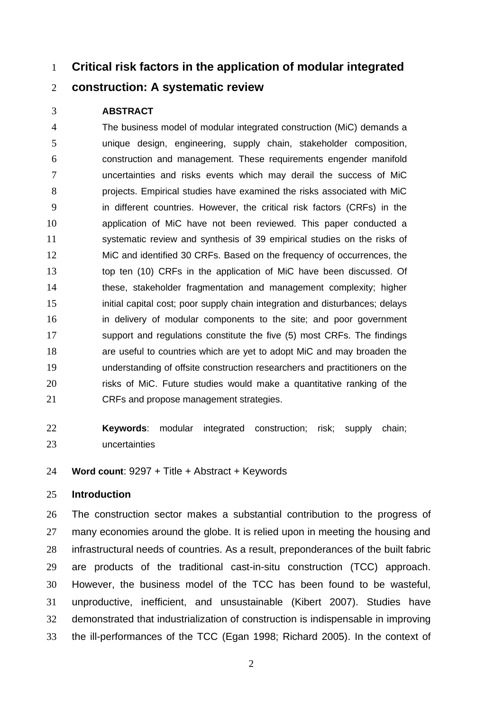# **Critical risk factors in the application of modular integrated**

# **construction: A systematic review**

### **ABSTRACT**

 The business model of modular integrated construction (MiC) demands a unique design, engineering, supply chain, stakeholder composition, construction and management. These requirements engender manifold uncertainties and risks events which may derail the success of MiC projects. Empirical studies have examined the risks associated with MiC in different countries. However, the critical risk factors (CRFs) in the application of MiC have not been reviewed. This paper conducted a systematic review and synthesis of 39 empirical studies on the risks of MiC and identified 30 CRFs. Based on the frequency of occurrences, the top ten (10) CRFs in the application of MiC have been discussed. Of these, stakeholder fragmentation and management complexity; higher initial capital cost; poor supply chain integration and disturbances; delays in delivery of modular components to the site; and poor government support and regulations constitute the five (5) most CRFs. The findings are useful to countries which are yet to adopt MiC and may broaden the understanding of offsite construction researchers and practitioners on the 20 risks of MiC. Future studies would make a quantitative ranking of the CRFs and propose management strategies.

 **Keywords**: modular integrated construction; risk; supply chain; uncertainties

**Word count**: 9297 + Title + Abstract + Keywords

# **Introduction**

 The construction sector makes a substantial contribution to the progress of 27 many economies around the globe. It is relied upon in meeting the housing and infrastructural needs of countries. As a result, preponderances of the built fabric are products of the traditional cast-in-situ construction (TCC) approach. However, the business model of the TCC has been found to be wasteful, unproductive, inefficient, and unsustainable (Kibert 2007). Studies have demonstrated that industrialization of construction is indispensable in improving the ill-performances of the TCC (Egan 1998; Richard 2005). In the context of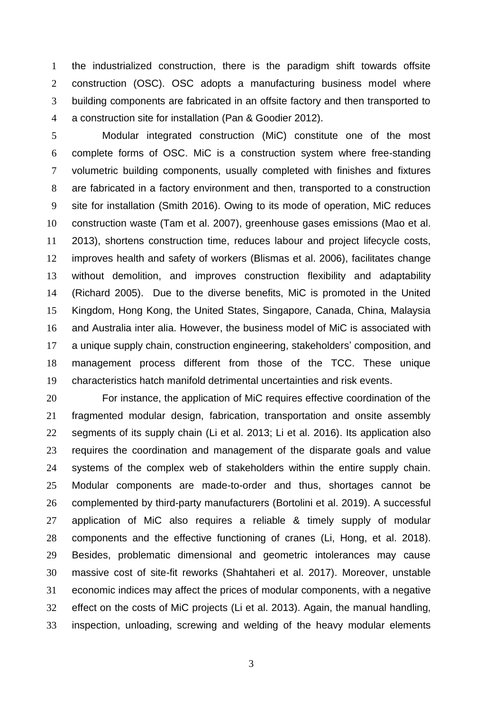the industrialized construction, there is the paradigm shift towards offsite construction (OSC). OSC adopts a manufacturing business model where building components are fabricated in an offsite factory and then transported to a construction site for installation (Pan & Goodier 2012).

 Modular integrated construction (MiC) constitute one of the most complete forms of OSC. MiC is a construction system where free-standing volumetric building components, usually completed with finishes and fixtures are fabricated in a factory environment and then, transported to a construction site for installation (Smith 2016). Owing to its mode of operation, MiC reduces construction waste (Tam et al. 2007), greenhouse gases emissions (Mao et al. 2013), shortens construction time, reduces labour and project lifecycle costs, improves health and safety of workers (Blismas et al. 2006), facilitates change without demolition, and improves construction flexibility and adaptability (Richard 2005). Due to the diverse benefits, MiC is promoted in the United Kingdom, Hong Kong, the United States, Singapore, Canada, China, Malaysia and Australia inter alia. However, the business model of MiC is associated with a unique supply chain, construction engineering, stakeholders' composition, and management process different from those of the TCC. These unique characteristics hatch manifold detrimental uncertainties and risk events.

 For instance, the application of MiC requires effective coordination of the fragmented modular design, fabrication, transportation and onsite assembly segments of its supply chain (Li et al. 2013; Li et al. 2016). Its application also requires the coordination and management of the disparate goals and value systems of the complex web of stakeholders within the entire supply chain. Modular components are made-to-order and thus, shortages cannot be complemented by third-party manufacturers (Bortolini et al. 2019). A successful application of MiC also requires a reliable & timely supply of modular components and the effective functioning of cranes (Li, Hong, et al. 2018). Besides, problematic dimensional and geometric intolerances may cause massive cost of site-fit reworks (Shahtaheri et al. 2017). Moreover, unstable economic indices may affect the prices of modular components, with a negative effect on the costs of MiC projects (Li et al. 2013). Again, the manual handling, inspection, unloading, screwing and welding of the heavy modular elements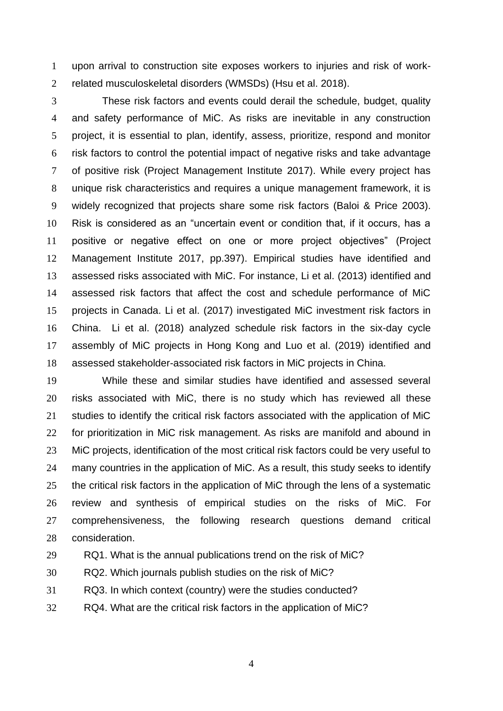upon arrival to construction site exposes workers to injuries and risk of work-related musculoskeletal disorders (WMSDs) (Hsu et al. 2018).

 These risk factors and events could derail the schedule, budget, quality and safety performance of MiC. As risks are inevitable in any construction project, it is essential to plan, identify, assess, prioritize, respond and monitor risk factors to control the potential impact of negative risks and take advantage of positive risk (Project Management Institute 2017). While every project has unique risk characteristics and requires a unique management framework, it is widely recognized that projects share some risk factors (Baloi & Price 2003). Risk is considered as an "uncertain event or condition that, if it occurs, has a positive or negative effect on one or more project objectives" (Project Management Institute 2017, pp.397). Empirical studies have identified and assessed risks associated with MiC. For instance, Li et al. (2013) identified and assessed risk factors that affect the cost and schedule performance of MiC projects in Canada. Li et al. (2017) investigated MiC investment risk factors in China. Li et al. (2018) analyzed schedule risk factors in the six-day cycle assembly of MiC projects in Hong Kong and Luo et al. (2019) identified and assessed stakeholder-associated risk factors in MiC projects in China.

 While these and similar studies have identified and assessed several risks associated with MiC, there is no study which has reviewed all these studies to identify the critical risk factors associated with the application of MiC for prioritization in MiC risk management. As risks are manifold and abound in MiC projects, identification of the most critical risk factors could be very useful to many countries in the application of MiC. As a result, this study seeks to identify the critical risk factors in the application of MiC through the lens of a systematic review and synthesis of empirical studies on the risks of MiC. For comprehensiveness, the following research questions demand critical consideration.

RQ1. What is the annual publications trend on the risk of MiC?

RQ2. Which journals publish studies on the risk of MiC?

RQ3. In which context (country) were the studies conducted?

RQ4. What are the critical risk factors in the application of MiC?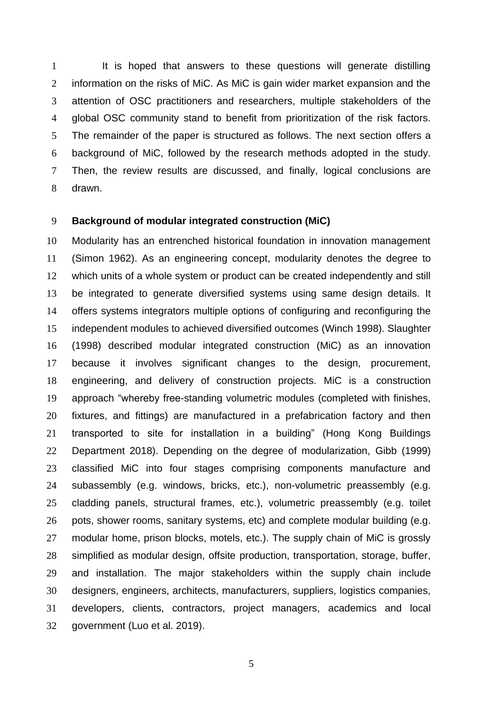It is hoped that answers to these questions will generate distilling 2 information on the risks of MiC. As MiC is gain wider market expansion and the attention of OSC practitioners and researchers, multiple stakeholders of the global OSC community stand to benefit from prioritization of the risk factors. The remainder of the paper is structured as follows. The next section offers a background of MiC, followed by the research methods adopted in the study. Then, the review results are discussed, and finally, logical conclusions are drawn.

# **Background of modular integrated construction (MiC)**

 Modularity has an entrenched historical foundation in innovation management (Simon 1962). As an engineering concept, modularity denotes the degree to which units of a whole system or product can be created independently and still be integrated to generate diversified systems using same design details. It offers systems integrators multiple options of configuring and reconfiguring the independent modules to achieved diversified outcomes (Winch 1998). Slaughter (1998) described modular integrated construction (MiC) as an innovation because it involves significant changes to the design, procurement, engineering, and delivery of construction projects. MiC is a construction approach "whereby free-standing volumetric modules (completed with finishes, fixtures, and fittings) are manufactured in a prefabrication factory and then transported to site for installation in a building" (Hong Kong Buildings Department 2018). Depending on the degree of modularization, Gibb (1999) classified MiC into four stages comprising components manufacture and subassembly (e.g. windows, bricks, etc.), non-volumetric preassembly (e.g. cladding panels, structural frames, etc.), volumetric preassembly (e.g. toilet pots, shower rooms, sanitary systems, etc) and complete modular building (e.g. modular home, prison blocks, motels, etc.). The supply chain of MiC is grossly simplified as modular design, offsite production, transportation, storage, buffer, and installation. The major stakeholders within the supply chain include designers, engineers, architects, manufacturers, suppliers, logistics companies, developers, clients, contractors, project managers, academics and local government (Luo et al. 2019).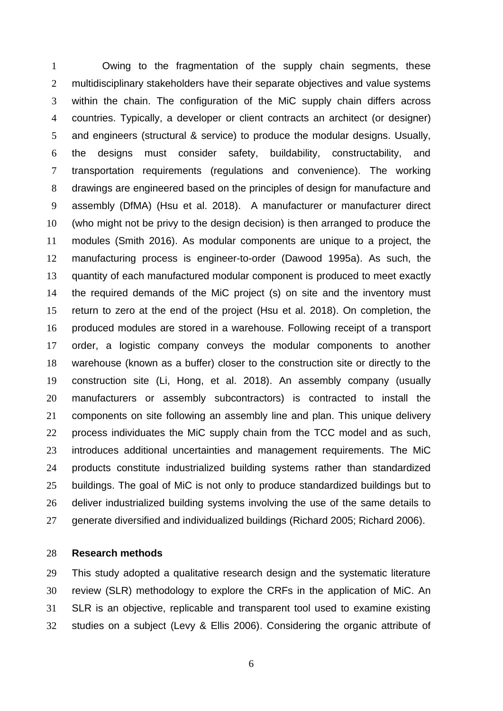Owing to the fragmentation of the supply chain segments, these 2 multidisciplinary stakeholders have their separate objectives and value systems within the chain. The configuration of the MiC supply chain differs across countries. Typically, a developer or client contracts an architect (or designer) and engineers (structural & service) to produce the modular designs. Usually, the designs must consider safety, buildability, constructability, and transportation requirements (regulations and convenience). The working drawings are engineered based on the principles of design for manufacture and assembly (DfMA) (Hsu et al. 2018). A manufacturer or manufacturer direct (who might not be privy to the design decision) is then arranged to produce the modules (Smith 2016). As modular components are unique to a project, the manufacturing process is engineer-to-order (Dawood 1995a). As such, the quantity of each manufactured modular component is produced to meet exactly the required demands of the MiC project (s) on site and the inventory must return to zero at the end of the project (Hsu et al. 2018). On completion, the produced modules are stored in a warehouse. Following receipt of a transport order, a logistic company conveys the modular components to another warehouse (known as a buffer) closer to the construction site or directly to the construction site (Li, Hong, et al. 2018). An assembly company (usually manufacturers or assembly subcontractors) is contracted to install the components on site following an assembly line and plan. This unique delivery 22 process individuates the MiC supply chain from the TCC model and as such, introduces additional uncertainties and management requirements. The MiC products constitute industrialized building systems rather than standardized buildings. The goal of MiC is not only to produce standardized buildings but to deliver industrialized building systems involving the use of the same details to generate diversified and individualized buildings (Richard 2005; Richard 2006).

# **Research methods**

 This study adopted a qualitative research design and the systematic literature review (SLR) methodology to explore the CRFs in the application of MiC. An SLR is an objective, replicable and transparent tool used to examine existing studies on a subject (Levy & Ellis 2006). Considering the organic attribute of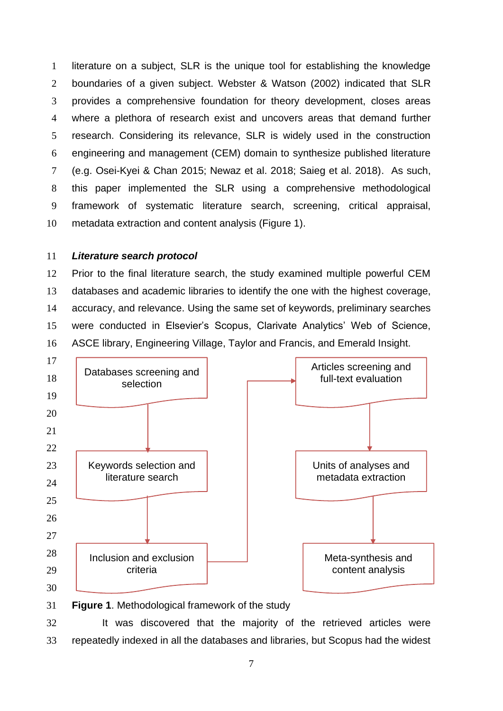literature on a subject, SLR is the unique tool for establishing the knowledge boundaries of a given subject. Webster & Watson (2002) indicated that SLR provides a comprehensive foundation for theory development, closes areas where a plethora of research exist and uncovers areas that demand further research. Considering its relevance, SLR is widely used in the construction engineering and management (CEM) domain to synthesize published literature (e.g. Osei-Kyei & Chan 2015; Newaz et al. 2018; Saieg et al. 2018). As such, this paper implemented the SLR using a comprehensive methodological framework of systematic literature search, screening, critical appraisal, metadata extraction and content analysis (Figure 1).

# *Literature search protocol*

 Prior to the final literature search, the study examined multiple powerful CEM databases and academic libraries to identify the one with the highest coverage, accuracy, and relevance. Using the same set of keywords, preliminary searches were conducted in Elsevier's Scopus, Clarivate Analytics' Web of Science, ASCE library, Engineering Village, Taylor and Francis, and Emerald Insight.



32 It was discovered that the majority of the retrieved articles were repeatedly indexed in all the databases and libraries, but Scopus had the widest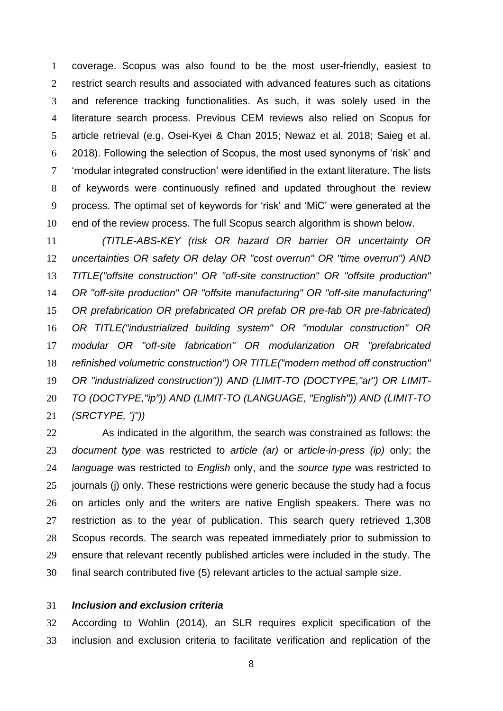coverage. Scopus was also found to be the most user-friendly, easiest to restrict search results and associated with advanced features such as citations and reference tracking functionalities. As such, it was solely used in the literature search process. Previous CEM reviews also relied on Scopus for article retrieval (e.g. Osei-Kyei & Chan 2015; Newaz et al. 2018; Saieg et al. 2018). Following the selection of Scopus, the most used synonyms of 'risk' and 'modular integrated construction' were identified in the extant literature. The lists of keywords were continuously refined and updated throughout the review process. The optimal set of keywords for 'risk' and 'MiC' were generated at the end of the review process. The full Scopus search algorithm is shown below.

 *(TITLE-ABS-KEY (risk OR hazard OR barrier OR uncertainty OR uncertainties OR safety OR delay OR "cost overrun" OR "time overrun") AND TITLE("offsite construction" OR "off-site construction" OR "offsite production" OR "off-site production" OR "offsite manufacturing" OR "off-site manufacturing" OR prefabrication OR prefabricated OR prefab OR pre-fab OR pre-fabricated) OR TITLE("industrialized building system" OR "modular construction" OR modular OR "off-site fabrication" OR modularization OR "prefabricated refinished volumetric construction") OR TITLE("modern method off construction" OR "industrialized construction")) AND (LIMIT-TO (DOCTYPE,"ar") OR LIMIT- TO (DOCTYPE,"ip")) AND (LIMIT-TO (LANGUAGE, "English")) AND (LIMIT-TO (SRCTYPE, "j"))*

 As indicated in the algorithm, the search was constrained as follows: the *document type* was restricted to *article (ar)* or *article-in-press (ip)* only; the *language* was restricted to *English* only, and the *source type* was restricted to journals (j) only. These restrictions were generic because the study had a focus on articles only and the writers are native English speakers. There was no restriction as to the year of publication. This search query retrieved 1,308 Scopus records. The search was repeated immediately prior to submission to ensure that relevant recently published articles were included in the study. The final search contributed five (5) relevant articles to the actual sample size.

# *Inclusion and exclusion criteria*

 According to Wohlin (2014), an SLR requires explicit specification of the inclusion and exclusion criteria to facilitate verification and replication of the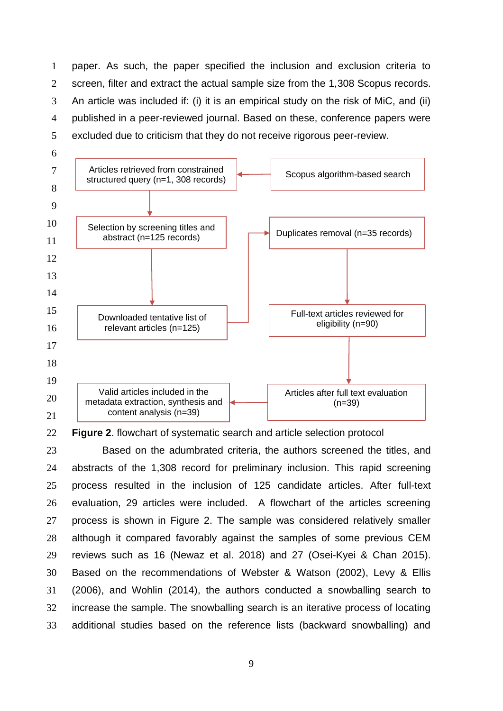paper. As such, the paper specified the inclusion and exclusion criteria to screen, filter and extract the actual sample size from the 1,308 Scopus records. An article was included if: (i) it is an empirical study on the risk of MiC, and (ii) published in a peer-reviewed journal. Based on these, conference papers were excluded due to criticism that they do not receive rigorous peer-review.



**Figure 2**. flowchart of systematic search and article selection protocol

 Based on the adumbrated criteria, the authors screened the titles, and abstracts of the 1,308 record for preliminary inclusion. This rapid screening process resulted in the inclusion of 125 candidate articles. After full-text evaluation, 29 articles were included. A flowchart of the articles screening process is shown in Figure 2. The sample was considered relatively smaller although it compared favorably against the samples of some previous CEM reviews such as 16 (Newaz et al. 2018) and 27 (Osei-Kyei & Chan 2015). Based on the recommendations of Webster & Watson (2002), Levy & Ellis (2006), and Wohlin (2014), the authors conducted a snowballing search to increase the sample. The snowballing search is an iterative process of locating additional studies based on the reference lists (backward snowballing) and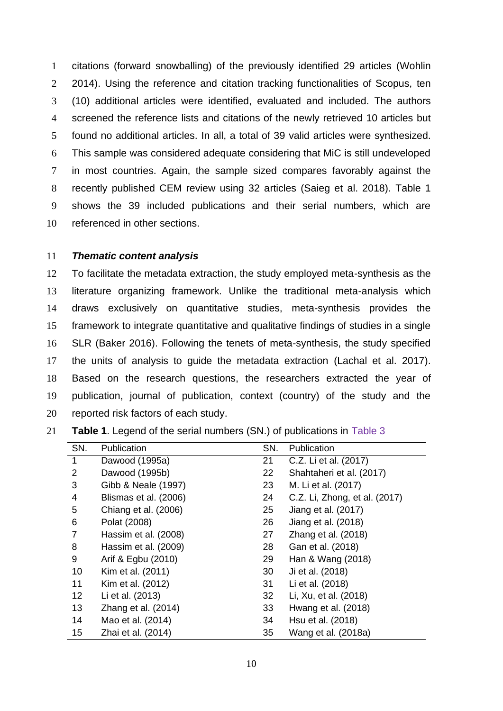citations (forward snowballing) of the previously identified 29 articles (Wohlin 2 2014). Using the reference and citation tracking functionalities of Scopus, ten (10) additional articles were identified, evaluated and included. The authors screened the reference lists and citations of the newly retrieved 10 articles but found no additional articles. In all, a total of 39 valid articles were synthesized. This sample was considered adequate considering that MiC is still undeveloped in most countries. Again, the sample sized compares favorably against the recently published CEM review using 32 articles (Saieg et al. 2018). Table 1 shows the 39 included publications and their serial numbers, which are referenced in other sections.

### *Thematic content analysis*

 To facilitate the metadata extraction, the study employed meta-synthesis as the literature organizing framework. Unlike the traditional meta-analysis which draws exclusively on quantitative studies, meta-synthesis provides the framework to integrate quantitative and qualitative findings of studies in a single SLR (Baker 2016). Following the tenets of meta-synthesis, the study specified the units of analysis to guide the metadata extraction (Lachal et al. 2017). Based on the research questions, the researchers extracted the year of publication, journal of publication, context (country) of the study and the reported risk factors of each study.

**Table 1**. Legend of the serial numbers (SN.) of publications in Table 3

| SN.             | Publication           | SN. | Publication                   |
|-----------------|-----------------------|-----|-------------------------------|
| 1               | Dawood (1995a)        | 21  | C.Z. Li et al. (2017)         |
| $\overline{2}$  | Dawood (1995b)        | 22  | Shahtaheri et al. (2017)      |
| 3               | Gibb & Neale (1997)   | 23  | M. Li et al. (2017)           |
| 4               | Blismas et al. (2006) | 24  | C.Z. Li, Zhong, et al. (2017) |
| 5               | Chiang et al. (2006)  | 25  | Jiang et al. (2017)           |
| 6               | Polat (2008)          | 26  | Jiang et al. (2018)           |
| 7               | Hassim et al. (2008)  | 27  | Zhang et al. (2018)           |
| 8               | Hassim et al. (2009)  | 28  | Gan et al. (2018)             |
| 9               | Arif & Egbu (2010)    | 29  | Han & Wang (2018)             |
| 10              | Kim et al. (2011)     | 30  | Ji et al. (2018)              |
| 11              | Kim et al. (2012)     | 31  | Li et al. (2018)              |
| 12 <sub>2</sub> | Li et al. (2013)      | 32  | Li, Xu, et al. (2018)         |
| 13              | Zhang et al. (2014)   | 33  | Hwang et al. (2018)           |
| 14              | Mao et al. (2014)     | 34  | Hsu et al. (2018)             |
| 15              | Zhai et al. (2014)    | 35  | Wang et al. (2018a)           |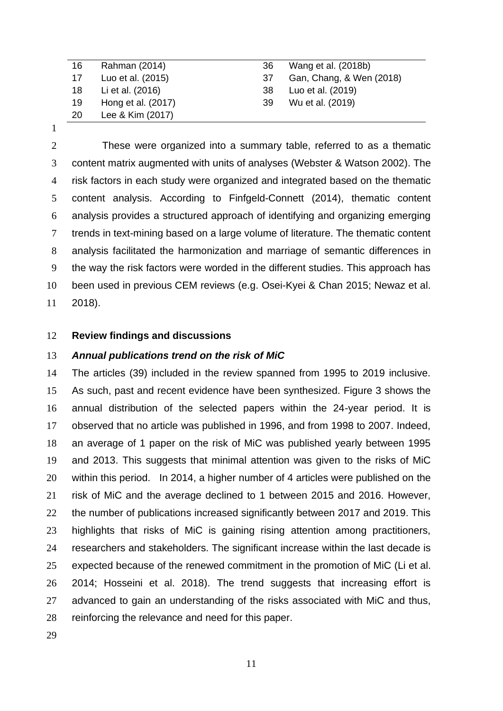| 16 | Rahman (2014)      | 36  | Wang et al. (2018b)      |
|----|--------------------|-----|--------------------------|
| 17 | Luo et al. (2015)  | -37 | Gan, Chang, & Wen (2018) |
| 18 | Li et al. (2016)   | -38 | Luo et al. (2019)        |
| 19 | Hong et al. (2017) | 39  | Wu et al. (2019)         |
| 20 | Lee & Kim (2017)   |     |                          |

 These were organized into a summary table, referred to as a thematic content matrix augmented with units of analyses (Webster & Watson 2002). The risk factors in each study were organized and integrated based on the thematic content analysis. According to Finfgeld-Connett (2014), thematic content analysis provides a structured approach of identifying and organizing emerging trends in text-mining based on a large volume of literature. The thematic content analysis facilitated the harmonization and marriage of semantic differences in the way the risk factors were worded in the different studies. This approach has been used in previous CEM reviews (e.g. Osei-Kyei & Chan 2015; Newaz et al. 2018).

## **Review findings and discussions**

### *Annual publications trend on the risk of MiC*

 The articles (39) included in the review spanned from 1995 to 2019 inclusive. As such, past and recent evidence have been synthesized. Figure 3 shows the annual distribution of the selected papers within the 24-year period. It is observed that no article was published in 1996, and from 1998 to 2007. Indeed, an average of 1 paper on the risk of MiC was published yearly between 1995 and 2013. This suggests that minimal attention was given to the risks of MiC within this period. In 2014, a higher number of 4 articles were published on the risk of MiC and the average declined to 1 between 2015 and 2016. However, the number of publications increased significantly between 2017 and 2019. This highlights that risks of MiC is gaining rising attention among practitioners, researchers and stakeholders. The significant increase within the last decade is expected because of the renewed commitment in the promotion of MiC (Li et al. 2014; Hosseini et al. 2018). The trend suggests that increasing effort is advanced to gain an understanding of the risks associated with MiC and thus, reinforcing the relevance and need for this paper.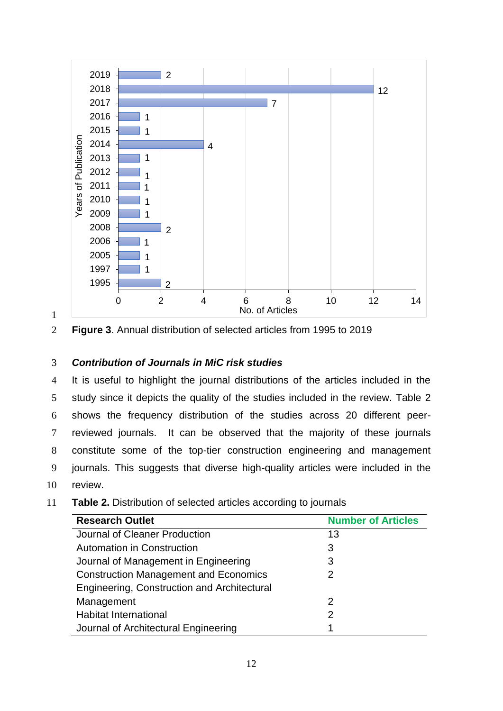



**Figure 3**. Annual distribution of selected articles from 1995 to 2019

# *Contribution of Journals in MiC risk studies*

 It is useful to highlight the journal distributions of the articles included in the study since it depicts the quality of the studies included in the review. Table 2 shows the frequency distribution of the studies across 20 different peer- reviewed journals. It can be observed that the majority of these journals constitute some of the top-tier construction engineering and management journals. This suggests that diverse high-quality articles were included in the review.

**Table 2.** Distribution of selected articles according to journals

| <b>Research Outlet</b>                       | <b>Number of Articles</b> |  |
|----------------------------------------------|---------------------------|--|
| Journal of Cleaner Production                | 13                        |  |
| Automation in Construction                   | 3                         |  |
| Journal of Management in Engineering         | 3                         |  |
| <b>Construction Management and Economics</b> | 2                         |  |
| Engineering, Construction and Architectural  |                           |  |
| Management                                   | 2                         |  |
| <b>Habitat International</b>                 | 2                         |  |
| Journal of Architectural Engineering         | 1                         |  |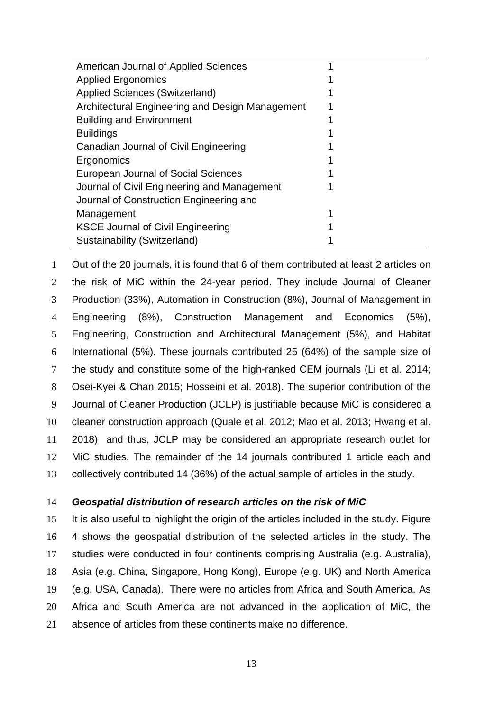| American Journal of Applied Sciences            |  |
|-------------------------------------------------|--|
| <b>Applied Ergonomics</b>                       |  |
| <b>Applied Sciences (Switzerland)</b>           |  |
| Architectural Engineering and Design Management |  |
| <b>Building and Environment</b>                 |  |
| <b>Buildings</b>                                |  |
| Canadian Journal of Civil Engineering           |  |
| Ergonomics                                      |  |
| European Journal of Social Sciences             |  |
| Journal of Civil Engineering and Management     |  |
| Journal of Construction Engineering and         |  |
| Management                                      |  |
| <b>KSCE Journal of Civil Engineering</b>        |  |
| Sustainability (Switzerland)                    |  |
|                                                 |  |

 Out of the 20 journals, it is found that 6 of them contributed at least 2 articles on the risk of MiC within the 24-year period. They include Journal of Cleaner Production (33%), Automation in Construction (8%), Journal of Management in Engineering (8%), Construction Management and Economics (5%), Engineering, Construction and Architectural Management (5%), and Habitat International (5%). These journals contributed 25 (64%) of the sample size of the study and constitute some of the high-ranked CEM journals (Li et al. 2014; Osei-Kyei & Chan 2015; Hosseini et al. 2018). The superior contribution of the Journal of Cleaner Production (JCLP) is justifiable because MiC is considered a cleaner construction approach (Quale et al. 2012; Mao et al. 2013; Hwang et al. 2018) and thus, JCLP may be considered an appropriate research outlet for MiC studies. The remainder of the 14 journals contributed 1 article each and collectively contributed 14 (36%) of the actual sample of articles in the study.

## *Geospatial distribution of research articles on the risk of MiC*

 It is also useful to highlight the origin of the articles included in the study. Figure 4 shows the geospatial distribution of the selected articles in the study. The studies were conducted in four continents comprising Australia (e.g. Australia), Asia (e.g. China, Singapore, Hong Kong), Europe (e.g. UK) and North America (e.g. USA, Canada). There were no articles from Africa and South America. As Africa and South America are not advanced in the application of MiC, the absence of articles from these continents make no difference.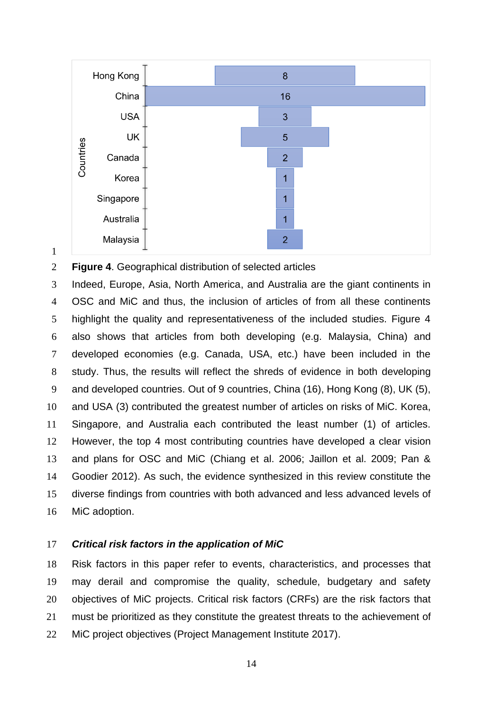

**Figure 4**. Geographical distribution of selected articles

 Indeed, Europe, Asia, North America, and Australia are the giant continents in OSC and MiC and thus, the inclusion of articles of from all these continents highlight the quality and representativeness of the included studies. Figure 4 also shows that articles from both developing (e.g. Malaysia, China) and developed economies (e.g. Canada, USA, etc.) have been included in the study. Thus, the results will reflect the shreds of evidence in both developing and developed countries. Out of 9 countries, China (16), Hong Kong (8), UK (5), and USA (3) contributed the greatest number of articles on risks of MiC. Korea, Singapore, and Australia each contributed the least number (1) of articles. However, the top 4 most contributing countries have developed a clear vision and plans for OSC and MiC (Chiang et al. 2006; Jaillon et al. 2009; Pan & Goodier 2012). As such, the evidence synthesized in this review constitute the diverse findings from countries with both advanced and less advanced levels of MiC adoption.

# *Critical risk factors in the application of MiC*

 Risk factors in this paper refer to events, characteristics, and processes that may derail and compromise the quality, schedule, budgetary and safety objectives of MiC projects. Critical risk factors (CRFs) are the risk factors that must be prioritized as they constitute the greatest threats to the achievement of MiC project objectives (Project Management Institute 2017).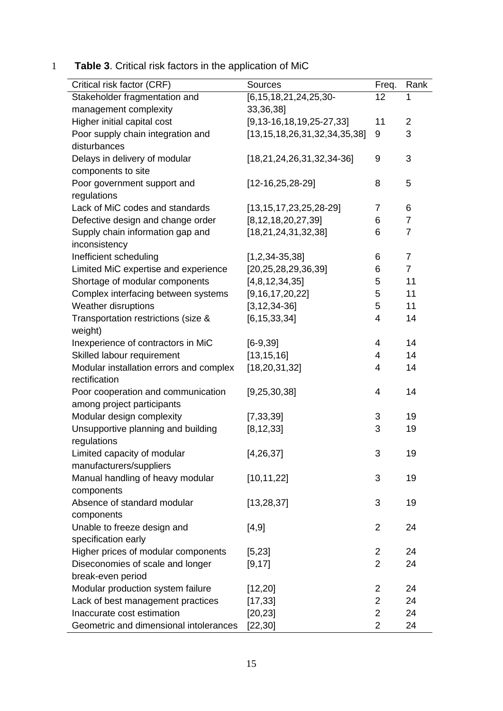1 **Table 3**. Critical risk factors in the application of MiC

| Critical risk factor (CRF)              | Sources                              | Freq.          | Rank           |
|-----------------------------------------|--------------------------------------|----------------|----------------|
| Stakeholder fragmentation and           | $[6, 15, 18, 21, 24, 25, 30-$        | 12             | 1              |
| management complexity                   | 33,36,38]                            |                |                |
| Higher initial capital cost             | $[9, 13 - 16, 18, 19, 25 - 27, 33]$  | 11             | $\overline{2}$ |
| Poor supply chain integration and       | [13, 15, 18, 26, 31, 32, 34, 35, 38] | 9              | 3              |
| disturbances                            |                                      |                |                |
| Delays in delivery of modular           | $[18, 21, 24, 26, 31, 32, 34-36]$    | 9              | 3              |
| components to site                      |                                      |                |                |
| Poor government support and             | $[12-16, 25, 28-29]$                 | 8              | 5              |
| regulations                             |                                      |                |                |
| Lack of MiC codes and standards         | $[13, 15, 17, 23, 25, 28-29]$        | $\overline{7}$ | $6\phantom{1}$ |
| Defective design and change order       | [8, 12, 18, 20, 27, 39]              | 6              | $\overline{7}$ |
| Supply chain information gap and        | [18, 21, 24, 31, 32, 38]             | 6              | $\overline{7}$ |
| inconsistency                           |                                      |                |                |
| Inefficient scheduling                  | $[1,2,34-35,38]$                     | 6              | $\overline{7}$ |
| Limited MiC expertise and experience    | [20, 25, 28, 29, 36, 39]             | 6              | $\overline{7}$ |
| Shortage of modular components          | [4,8,12,34,35]                       | 5              | 11             |
| Complex interfacing between systems     | [9, 16, 17, 20, 22]                  | 5              | 11             |
| Weather disruptions                     | $[3, 12, 34 - 36]$                   | 5              | 11             |
| Transportation restrictions (size &     | [6, 15, 33, 34]                      | 4              | 14             |
| weight)                                 |                                      |                |                |
| Inexperience of contractors in MiC      | $[6-9, 39]$                          | 4              | 14             |
| Skilled labour requirement              | [13, 15, 16]                         | 4              | 14             |
| Modular installation errors and complex | [18, 20, 31, 32]                     | $\overline{4}$ | 14             |
| rectification                           |                                      |                |                |
| Poor cooperation and communication      | [9, 25, 30, 38]                      | $\overline{4}$ | 14             |
| among project participants              |                                      |                |                |
| Modular design complexity               | [7, 33, 39]                          | 3              | 19             |
| Unsupportive planning and building      | [8, 12, 33]                          | 3              | 19             |
| regulations                             |                                      |                |                |
| Limited capacity of modular             | [4, 26, 37]                          | 3              | 19             |
| manufacturers/suppliers                 |                                      |                |                |
| Manual handling of heavy modular        | [10, 11, 22]                         | 3              | 19             |
| components                              |                                      |                |                |
| Absence of standard modular             | [13, 28, 37]                         | 3              | 19             |
| components                              |                                      |                |                |
| Unable to freeze design and             | [4, 9]                               | $\overline{2}$ | 24             |
| specification early                     |                                      |                |                |
| Higher prices of modular components     | [5, 23]                              | $\overline{2}$ | 24             |
| Diseconomies of scale and longer        | [9, 17]                              | $\overline{2}$ | 24             |
| break-even period                       |                                      |                |                |
| Modular production system failure       | [12, 20]                             | $\overline{2}$ | 24             |
| Lack of best management practices       | [17, 33]                             | $\overline{2}$ | 24             |
| Inaccurate cost estimation              | [20, 23]                             | $\overline{2}$ | 24             |
| Geometric and dimensional intolerances  | [22, 30]                             | $\overline{2}$ | 24             |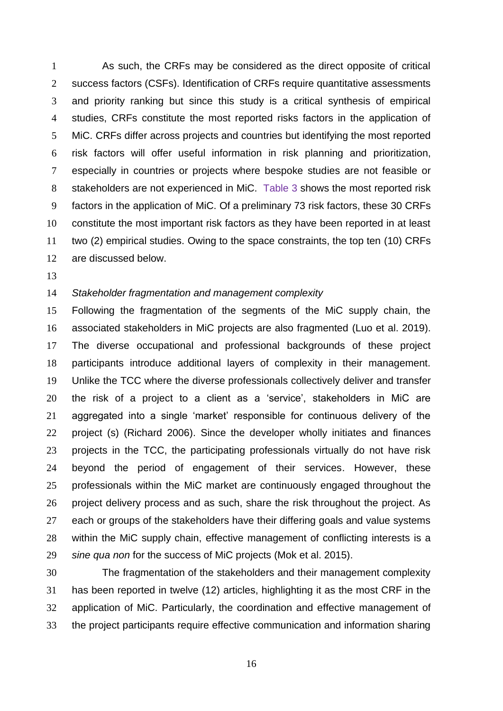As such, the CRFs may be considered as the direct opposite of critical success factors (CSFs). Identification of CRFs require quantitative assessments and priority ranking but since this study is a critical synthesis of empirical studies, CRFs constitute the most reported risks factors in the application of MiC. CRFs differ across projects and countries but identifying the most reported risk factors will offer useful information in risk planning and prioritization, especially in countries or projects where bespoke studies are not feasible or stakeholders are not experienced in MiC. Table 3 shows the most reported risk factors in the application of MiC. Of a preliminary 73 risk factors, these 30 CRFs constitute the most important risk factors as they have been reported in at least two (2) empirical studies. Owing to the space constraints, the top ten (10) CRFs are discussed below.

# *Stakeholder fragmentation and management complexity*

 Following the fragmentation of the segments of the MiC supply chain, the associated stakeholders in MiC projects are also fragmented (Luo et al. 2019). The diverse occupational and professional backgrounds of these project participants introduce additional layers of complexity in their management. Unlike the TCC where the diverse professionals collectively deliver and transfer the risk of a project to a client as a 'service', stakeholders in MiC are aggregated into a single 'market' responsible for continuous delivery of the project (s) (Richard 2006). Since the developer wholly initiates and finances projects in the TCC, the participating professionals virtually do not have risk beyond the period of engagement of their services. However, these professionals within the MiC market are continuously engaged throughout the project delivery process and as such, share the risk throughout the project. As each or groups of the stakeholders have their differing goals and value systems within the MiC supply chain, effective management of conflicting interests is a *sine qua non* for the success of MiC projects (Mok et al. 2015).

 The fragmentation of the stakeholders and their management complexity has been reported in twelve (12) articles, highlighting it as the most CRF in the application of MiC. Particularly, the coordination and effective management of the project participants require effective communication and information sharing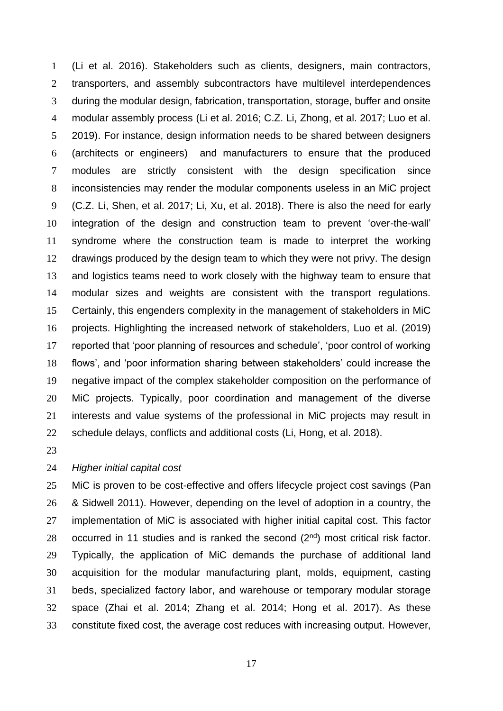(Li et al. 2016). Stakeholders such as clients, designers, main contractors, transporters, and assembly subcontractors have multilevel interdependences during the modular design, fabrication, transportation, storage, buffer and onsite modular assembly process (Li et al. 2016; C.Z. Li, Zhong, et al. 2017; Luo et al. 2019). For instance, design information needs to be shared between designers (architects or engineers) and manufacturers to ensure that the produced modules are strictly consistent with the design specification since inconsistencies may render the modular components useless in an MiC project (C.Z. Li, Shen, et al. 2017; Li, Xu, et al. 2018). There is also the need for early integration of the design and construction team to prevent 'over-the-wall' syndrome where the construction team is made to interpret the working drawings produced by the design team to which they were not privy. The design and logistics teams need to work closely with the highway team to ensure that modular sizes and weights are consistent with the transport regulations. Certainly, this engenders complexity in the management of stakeholders in MiC projects. Highlighting the increased network of stakeholders, Luo et al. (2019) reported that 'poor planning of resources and schedule', 'poor control of working flows', and 'poor information sharing between stakeholders' could increase the negative impact of the complex stakeholder composition on the performance of MiC projects. Typically, poor coordination and management of the diverse interests and value systems of the professional in MiC projects may result in 22 schedule delays, conflicts and additional costs (Li, Hong, et al. 2018).

# *Higher initial capital cost*

 MiC is proven to be cost-effective and offers lifecycle project cost savings (Pan & Sidwell 2011). However, depending on the level of adoption in a country, the implementation of MiC is associated with higher initial capital cost. This factor 28 occurred in 11 studies and is ranked the second  $(2^{nd})$  most critical risk factor. Typically, the application of MiC demands the purchase of additional land acquisition for the modular manufacturing plant, molds, equipment, casting beds, specialized factory labor, and warehouse or temporary modular storage space (Zhai et al. 2014; Zhang et al. 2014; Hong et al. 2017). As these constitute fixed cost, the average cost reduces with increasing output. However,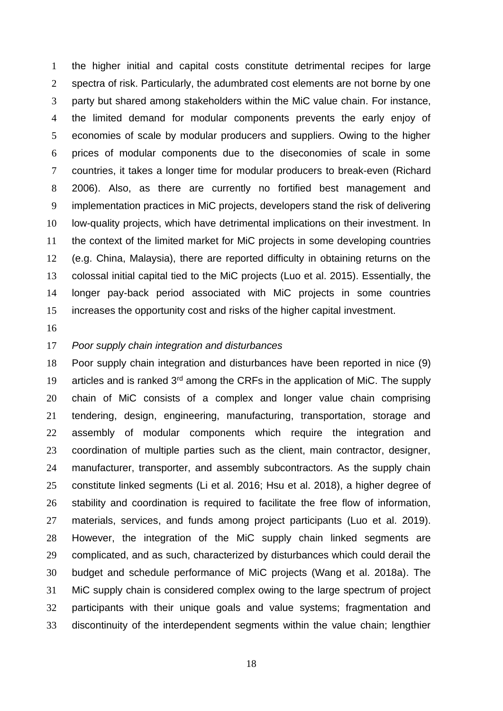the higher initial and capital costs constitute detrimental recipes for large spectra of risk. Particularly, the adumbrated cost elements are not borne by one party but shared among stakeholders within the MiC value chain. For instance, the limited demand for modular components prevents the early enjoy of economies of scale by modular producers and suppliers. Owing to the higher prices of modular components due to the diseconomies of scale in some countries, it takes a longer time for modular producers to break-even (Richard 2006). Also, as there are currently no fortified best management and implementation practices in MiC projects, developers stand the risk of delivering low-quality projects, which have detrimental implications on their investment. In the context of the limited market for MiC projects in some developing countries (e.g. China, Malaysia), there are reported difficulty in obtaining returns on the colossal initial capital tied to the MiC projects (Luo et al. 2015). Essentially, the longer pay-back period associated with MiC projects in some countries increases the opportunity cost and risks of the higher capital investment.

#### *Poor supply chain integration and disturbances*

 Poor supply chain integration and disturbances have been reported in nice (9) 19 articles and is ranked  $3<sup>rd</sup>$  among the CRFs in the application of MiC. The supply chain of MiC consists of a complex and longer value chain comprising tendering, design, engineering, manufacturing, transportation, storage and assembly of modular components which require the integration and coordination of multiple parties such as the client, main contractor, designer, manufacturer, transporter, and assembly subcontractors. As the supply chain constitute linked segments (Li et al. 2016; Hsu et al. 2018), a higher degree of stability and coordination is required to facilitate the free flow of information, materials, services, and funds among project participants (Luo et al. 2019). However, the integration of the MiC supply chain linked segments are complicated, and as such, characterized by disturbances which could derail the budget and schedule performance of MiC projects (Wang et al. 2018a). The MiC supply chain is considered complex owing to the large spectrum of project participants with their unique goals and value systems; fragmentation and discontinuity of the interdependent segments within the value chain; lengthier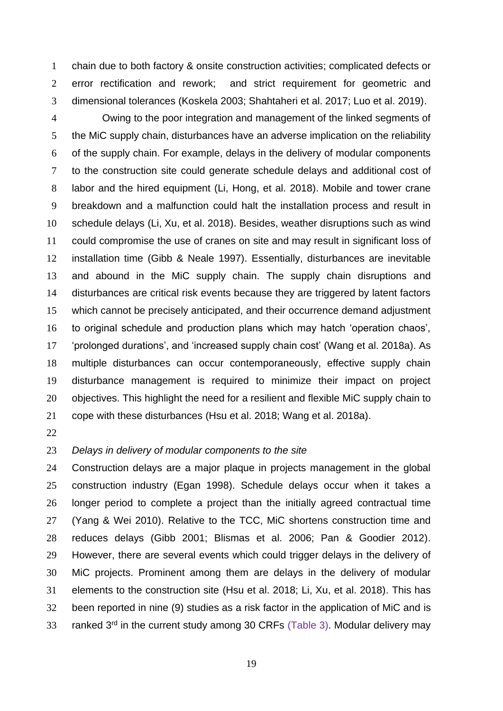chain due to both factory & onsite construction activities; complicated defects or error rectification and rework; and strict requirement for geometric and dimensional tolerances (Koskela 2003; Shahtaheri et al. 2017; Luo et al. 2019).

 Owing to the poor integration and management of the linked segments of the MiC supply chain, disturbances have an adverse implication on the reliability of the supply chain. For example, delays in the delivery of modular components to the construction site could generate schedule delays and additional cost of labor and the hired equipment (Li, Hong, et al. 2018). Mobile and tower crane breakdown and a malfunction could halt the installation process and result in schedule delays (Li, Xu, et al. 2018). Besides, weather disruptions such as wind could compromise the use of cranes on site and may result in significant loss of installation time (Gibb & Neale 1997). Essentially, disturbances are inevitable and abound in the MiC supply chain. The supply chain disruptions and disturbances are critical risk events because they are triggered by latent factors which cannot be precisely anticipated, and their occurrence demand adjustment to original schedule and production plans which may hatch 'operation chaos', 'prolonged durations', and 'increased supply chain cost' (Wang et al. 2018a). As multiple disturbances can occur contemporaneously, effective supply chain disturbance management is required to minimize their impact on project objectives. This highlight the need for a resilient and flexible MiC supply chain to cope with these disturbances (Hsu et al. 2018; Wang et al. 2018a).

# *Delays in delivery of modular components to the site*

 Construction delays are a major plaque in projects management in the global construction industry (Egan 1998). Schedule delays occur when it takes a longer period to complete a project than the initially agreed contractual time (Yang & Wei 2010). Relative to the TCC, MiC shortens construction time and reduces delays (Gibb 2001; Blismas et al. 2006; Pan & Goodier 2012). However, there are several events which could trigger delays in the delivery of MiC projects. Prominent among them are delays in the delivery of modular elements to the construction site (Hsu et al. 2018; Li, Xu, et al. 2018). This has been reported in nine (9) studies as a risk factor in the application of MiC and is 33 ranked  $3^{rd}$  in the current study among 30 CRFs (Table 3). Modular delivery may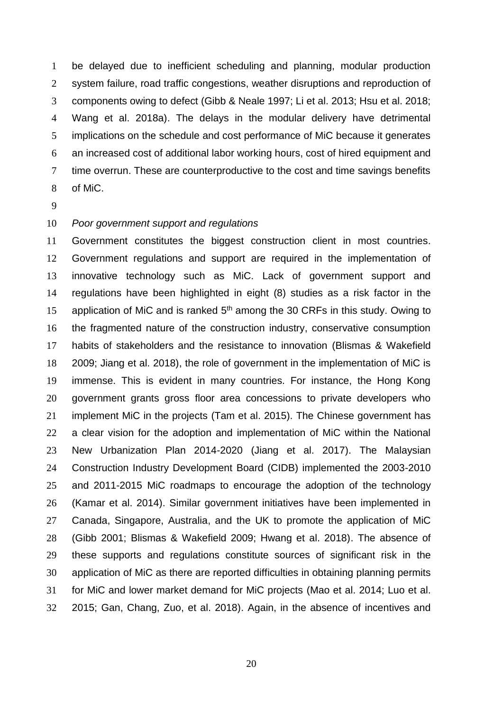be delayed due to inefficient scheduling and planning, modular production system failure, road traffic congestions, weather disruptions and reproduction of components owing to defect (Gibb & Neale 1997; Li et al. 2013; Hsu et al. 2018; Wang et al. 2018a). The delays in the modular delivery have detrimental implications on the schedule and cost performance of MiC because it generates an increased cost of additional labor working hours, cost of hired equipment and 7 time overrun. These are counterproductive to the cost and time savings benefits of MiC.

#### *Poor government support and regulations*

 Government constitutes the biggest construction client in most countries. Government regulations and support are required in the implementation of innovative technology such as MiC. Lack of government support and regulations have been highlighted in eight (8) studies as a risk factor in the 15 application of MiC and is ranked  $5<sup>th</sup>$  among the 30 CRFs in this study. Owing to the fragmented nature of the construction industry, conservative consumption habits of stakeholders and the resistance to innovation (Blismas & Wakefield 2009; Jiang et al. 2018), the role of government in the implementation of MiC is immense. This is evident in many countries. For instance, the Hong Kong government grants gross floor area concessions to private developers who implement MiC in the projects (Tam et al. 2015). The Chinese government has 22 a clear vision for the adoption and implementation of MiC within the National New Urbanization Plan 2014-2020 (Jiang et al. 2017). The Malaysian Construction Industry Development Board (CIDB) implemented the 2003-2010 and 2011-2015 MiC roadmaps to encourage the adoption of the technology (Kamar et al. 2014). Similar government initiatives have been implemented in Canada, Singapore, Australia, and the UK to promote the application of MiC (Gibb 2001; Blismas & Wakefield 2009; Hwang et al. 2018). The absence of these supports and regulations constitute sources of significant risk in the application of MiC as there are reported difficulties in obtaining planning permits for MiC and lower market demand for MiC projects (Mao et al. 2014; Luo et al. 2015; Gan, Chang, Zuo, et al. 2018). Again, in the absence of incentives and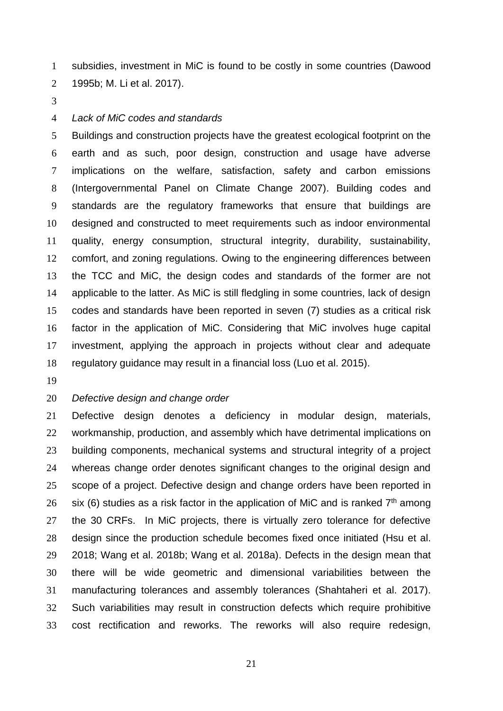subsidies, investment in MiC is found to be costly in some countries (Dawood 1995b; M. Li et al. 2017).

#### *Lack of MiC codes and standards*

 Buildings and construction projects have the greatest ecological footprint on the earth and as such, poor design, construction and usage have adverse implications on the welfare, satisfaction, safety and carbon emissions (Intergovernmental Panel on Climate Change 2007). Building codes and standards are the regulatory frameworks that ensure that buildings are designed and constructed to meet requirements such as indoor environmental quality, energy consumption, structural integrity, durability, sustainability, comfort, and zoning regulations. Owing to the engineering differences between the TCC and MiC, the design codes and standards of the former are not applicable to the latter. As MiC is still fledgling in some countries, lack of design codes and standards have been reported in seven (7) studies as a critical risk factor in the application of MiC. Considering that MiC involves huge capital investment, applying the approach in projects without clear and adequate regulatory guidance may result in a financial loss (Luo et al. 2015).

# *Defective design and change order*

 Defective design denotes a deficiency in modular design, materials, workmanship, production, and assembly which have detrimental implications on building components, mechanical systems and structural integrity of a project whereas change order denotes significant changes to the original design and scope of a project. Defective design and change orders have been reported in 26 six (6) studies as a risk factor in the application of MiC and is ranked  $7<sup>th</sup>$  among the 30 CRFs. In MiC projects, there is virtually zero tolerance for defective design since the production schedule becomes fixed once initiated (Hsu et al. 2018; Wang et al. 2018b; Wang et al. 2018a). Defects in the design mean that there will be wide geometric and dimensional variabilities between the manufacturing tolerances and assembly tolerances (Shahtaheri et al. 2017). Such variabilities may result in construction defects which require prohibitive cost rectification and reworks. The reworks will also require redesign,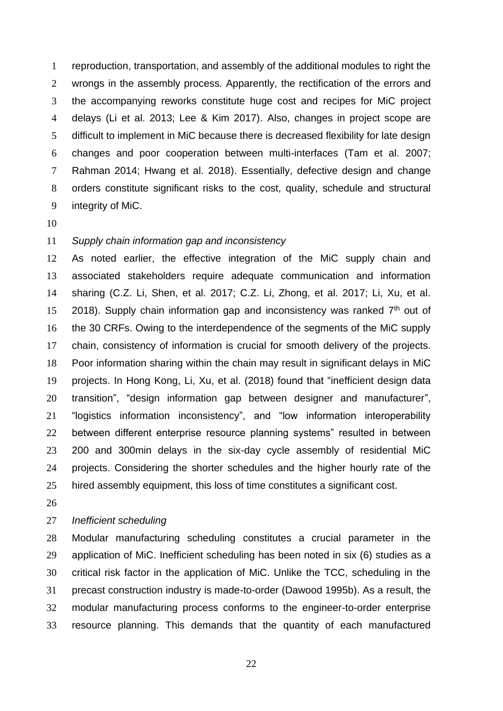reproduction, transportation, and assembly of the additional modules to right the wrongs in the assembly process. Apparently, the rectification of the errors and the accompanying reworks constitute huge cost and recipes for MiC project delays (Li et al. 2013; Lee & Kim 2017). Also, changes in project scope are difficult to implement in MiC because there is decreased flexibility for late design changes and poor cooperation between multi-interfaces (Tam et al. 2007; Rahman 2014; Hwang et al. 2018). Essentially, defective design and change orders constitute significant risks to the cost, quality, schedule and structural integrity of MiC.

# *Supply chain information gap and inconsistency*

 As noted earlier, the effective integration of the MiC supply chain and associated stakeholders require adequate communication and information sharing (C.Z. Li, Shen, et al. 2017; C.Z. Li, Zhong, et al. 2017; Li, Xu, et al. 15 2018). Supply chain information gap and inconsistency was ranked  $7<sup>th</sup>$  out of the 30 CRFs. Owing to the interdependence of the segments of the MiC supply chain, consistency of information is crucial for smooth delivery of the projects. Poor information sharing within the chain may result in significant delays in MiC projects. In Hong Kong, Li, Xu, et al. (2018) found that "inefficient design data transition", "design information gap between designer and manufacturer", "logistics information inconsistency", and "low information interoperability between different enterprise resource planning systems" resulted in between 200 and 300min delays in the six-day cycle assembly of residential MiC projects. Considering the shorter schedules and the higher hourly rate of the hired assembly equipment, this loss of time constitutes a significant cost.

### *Inefficient scheduling*

 Modular manufacturing scheduling constitutes a crucial parameter in the application of MiC. Inefficient scheduling has been noted in six (6) studies as a critical risk factor in the application of MiC. Unlike the TCC, scheduling in the precast construction industry is made-to-order (Dawood 1995b). As a result, the modular manufacturing process conforms to the engineer-to-order enterprise resource planning. This demands that the quantity of each manufactured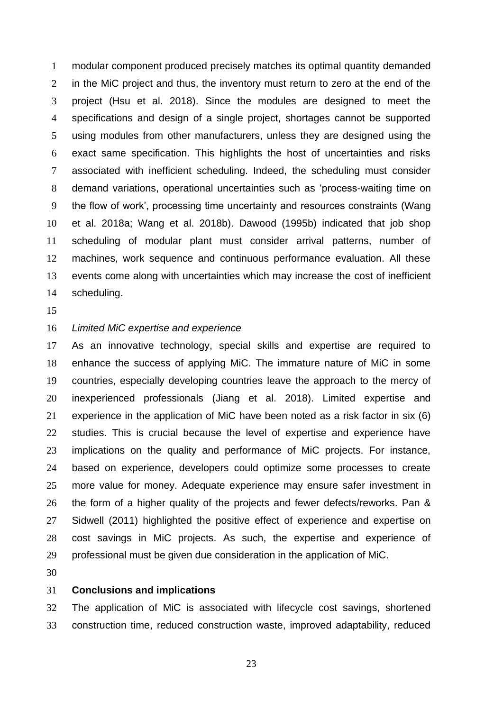modular component produced precisely matches its optimal quantity demanded in the MiC project and thus, the inventory must return to zero at the end of the project (Hsu et al. 2018). Since the modules are designed to meet the specifications and design of a single project, shortages cannot be supported using modules from other manufacturers, unless they are designed using the exact same specification. This highlights the host of uncertainties and risks associated with inefficient scheduling. Indeed, the scheduling must consider demand variations, operational uncertainties such as 'process-waiting time on the flow of work', processing time uncertainty and resources constraints (Wang et al. 2018a; Wang et al. 2018b). Dawood (1995b) indicated that job shop scheduling of modular plant must consider arrival patterns, number of machines, work sequence and continuous performance evaluation. All these events come along with uncertainties which may increase the cost of inefficient scheduling.

### *Limited MiC expertise and experience*

 As an innovative technology, special skills and expertise are required to enhance the success of applying MiC. The immature nature of MiC in some countries, especially developing countries leave the approach to the mercy of inexperienced professionals (Jiang et al. 2018). Limited expertise and experience in the application of MiC have been noted as a risk factor in six (6) studies. This is crucial because the level of expertise and experience have implications on the quality and performance of MiC projects. For instance, based on experience, developers could optimize some processes to create more value for money. Adequate experience may ensure safer investment in the form of a higher quality of the projects and fewer defects/reworks. Pan & Sidwell (2011) highlighted the positive effect of experience and expertise on cost savings in MiC projects. As such, the expertise and experience of professional must be given due consideration in the application of MiC.

#### **Conclusions and implications**

 The application of MiC is associated with lifecycle cost savings, shortened construction time, reduced construction waste, improved adaptability, reduced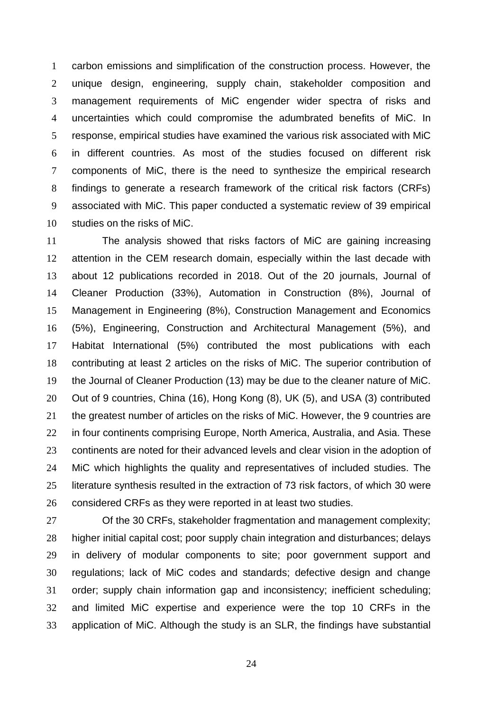carbon emissions and simplification of the construction process. However, the unique design, engineering, supply chain, stakeholder composition and management requirements of MiC engender wider spectra of risks and uncertainties which could compromise the adumbrated benefits of MiC. In response, empirical studies have examined the various risk associated with MiC in different countries. As most of the studies focused on different risk components of MiC, there is the need to synthesize the empirical research findings to generate a research framework of the critical risk factors (CRFs) associated with MiC. This paper conducted a systematic review of 39 empirical studies on the risks of MiC.

 The analysis showed that risks factors of MiC are gaining increasing attention in the CEM research domain, especially within the last decade with about 12 publications recorded in 2018. Out of the 20 journals, Journal of Cleaner Production (33%), Automation in Construction (8%), Journal of Management in Engineering (8%), Construction Management and Economics (5%), Engineering, Construction and Architectural Management (5%), and Habitat International (5%) contributed the most publications with each contributing at least 2 articles on the risks of MiC. The superior contribution of the Journal of Cleaner Production (13) may be due to the cleaner nature of MiC. Out of 9 countries, China (16), Hong Kong (8), UK (5), and USA (3) contributed the greatest number of articles on the risks of MiC. However, the 9 countries are 22 in four continents comprising Europe, North America, Australia, and Asia. These continents are noted for their advanced levels and clear vision in the adoption of MiC which highlights the quality and representatives of included studies. The literature synthesis resulted in the extraction of 73 risk factors, of which 30 were considered CRFs as they were reported in at least two studies.

 Of the 30 CRFs, stakeholder fragmentation and management complexity; higher initial capital cost; poor supply chain integration and disturbances; delays in delivery of modular components to site; poor government support and regulations; lack of MiC codes and standards; defective design and change order; supply chain information gap and inconsistency; inefficient scheduling; and limited MiC expertise and experience were the top 10 CRFs in the application of MiC. Although the study is an SLR, the findings have substantial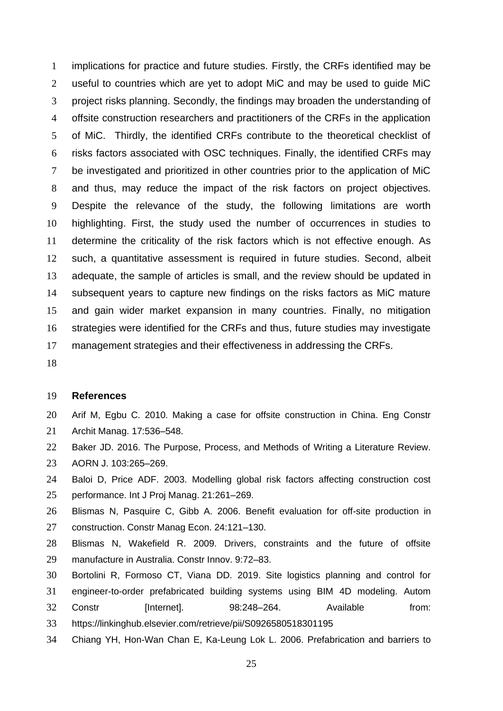implications for practice and future studies. Firstly, the CRFs identified may be useful to countries which are yet to adopt MiC and may be used to guide MiC project risks planning. Secondly, the findings may broaden the understanding of offsite construction researchers and practitioners of the CRFs in the application of MiC. Thirdly, the identified CRFs contribute to the theoretical checklist of risks factors associated with OSC techniques. Finally, the identified CRFs may be investigated and prioritized in other countries prior to the application of MiC and thus, may reduce the impact of the risk factors on project objectives. Despite the relevance of the study, the following limitations are worth highlighting. First, the study used the number of occurrences in studies to determine the criticality of the risk factors which is not effective enough. As such, a quantitative assessment is required in future studies. Second, albeit adequate, the sample of articles is small, and the review should be updated in subsequent years to capture new findings on the risks factors as MiC mature and gain wider market expansion in many countries. Finally, no mitigation strategies were identified for the CRFs and thus, future studies may investigate management strategies and their effectiveness in addressing the CRFs.

#### **References**

- Arif M, Egbu C. 2010. Making a case for offsite construction in China. Eng Constr Archit Manag. 17:536–548.
- Baker JD. 2016. The Purpose, Process, and Methods of Writing a Literature Review.
- AORN J. 103:265–269.
- Baloi D, Price ADF. 2003. Modelling global risk factors affecting construction cost performance. Int J Proj Manag. 21:261–269.
- Blismas N, Pasquire C, Gibb A. 2006. Benefit evaluation for off-site production in construction. Constr Manag Econ. 24:121–130.
- Blismas N, Wakefield R. 2009. Drivers, constraints and the future of offsite manufacture in Australia. Constr Innov. 9:72–83.
- Bortolini R, Formoso CT, Viana DD. 2019. Site logistics planning and control for
- engineer-to-order prefabricated building systems using BIM 4D modeling. Autom 32 Constr [Internet]. 98:248-264. Available from: https://linkinghub.elsevier.com/retrieve/pii/S0926580518301195
- Chiang YH, Hon-Wan Chan E, Ka-Leung Lok L. 2006. Prefabrication and barriers to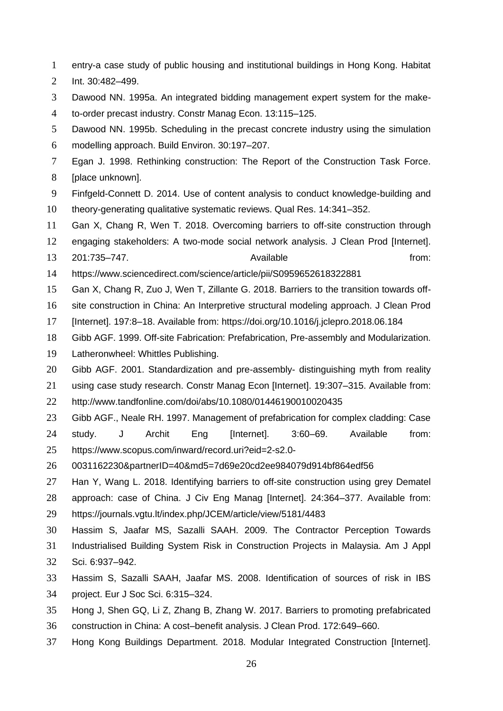- entry-a case study of public housing and institutional buildings in Hong Kong. Habitat
- Int. 30:482–499.
- Dawood NN. 1995a. An integrated bidding management expert system for the make-
- to-order precast industry. Constr Manag Econ. 13:115–125.
- Dawood NN. 1995b. Scheduling in the precast concrete industry using the simulation modelling approach. Build Environ. 30:197–207.
- 
- Egan J. 1998. Rethinking construction: The Report of the Construction Task Force.
- [place unknown].
- Finfgeld-Connett D. 2014. Use of content analysis to conduct knowledge-building and
- theory-generating qualitative systematic reviews. Qual Res. 14:341–352.
- Gan X, Chang R, Wen T. 2018. Overcoming barriers to off-site construction through
- engaging stakeholders: A two-mode social network analysis. J Clean Prod [Internet].
- 201:735–747. Available from:
- https://www.sciencedirect.com/science/article/pii/S0959652618322881
- Gan X, Chang R, Zuo J, Wen T, Zillante G. 2018. Barriers to the transition towards off-
- site construction in China: An Interpretive structural modeling approach. J Clean Prod
- [Internet]. 197:8–18. Available from: https://doi.org/10.1016/j.jclepro.2018.06.184
- Gibb AGF. 1999. Off-site Fabrication: Prefabrication, Pre-assembly and Modularization.
- Latheronwheel: Whittles Publishing.
- Gibb AGF. 2001. Standardization and pre-assembly- distinguishing myth from reality
- using case study research. Constr Manag Econ [Internet]. 19:307–315. Available from:
- http://www.tandfonline.com/doi/abs/10.1080/01446190010020435
- Gibb AGF., Neale RH. 1997. Management of prefabrication for complex cladding: Case study. J Archit Eng [Internet]. 3:60–69. Available from: https://www.scopus.com/inward/record.uri?eid=2-s2.0-
- 0031162230&partnerID=40&md5=7d69e20cd2ee984079d914bf864edf56
- Han Y, Wang L. 2018. Identifying barriers to off-site construction using grey Dematel approach: case of China. J Civ Eng Manag [Internet]. 24:364–377. Available from:
- https://journals.vgtu.lt/index.php/JCEM/article/view/5181/4483
- Hassim S, Jaafar MS, Sazalli SAAH. 2009. The Contractor Perception Towards
- Industrialised Building System Risk in Construction Projects in Malaysia. Am J Appl Sci. 6:937–942.
- Hassim S, Sazalli SAAH, Jaafar MS. 2008. Identification of sources of risk in IBS project. Eur J Soc Sci. 6:315–324.
- Hong J, Shen GQ, Li Z, Zhang B, Zhang W. 2017. Barriers to promoting prefabricated
- construction in China: A cost–benefit analysis. J Clean Prod. 172:649–660.
- Hong Kong Buildings Department. 2018. Modular Integrated Construction [Internet].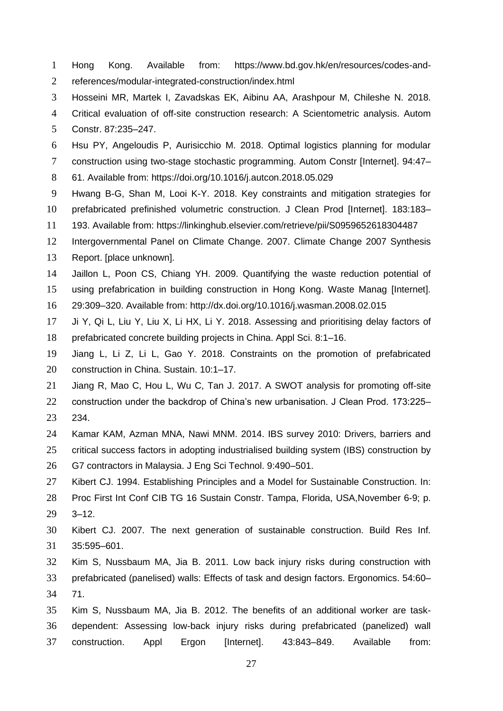- Hong Kong. Available from: https://www.bd.gov.hk/en/resources/codes-and-
- references/modular-integrated-construction/index.html
- Hosseini MR, Martek I, Zavadskas EK, Aibinu AA, Arashpour M, Chileshe N. 2018.
- Critical evaluation of off-site construction research: A Scientometric analysis. Autom
- Constr. 87:235–247.
- Hsu PY, Angeloudis P, Aurisicchio M. 2018. Optimal logistics planning for modular
- construction using two-stage stochastic programming. Autom Constr [Internet]. 94:47–
- 61. Available from: https://doi.org/10.1016/j.autcon.2018.05.029
- Hwang B-G, Shan M, Looi K-Y. 2018. Key constraints and mitigation strategies for
- prefabricated prefinished volumetric construction. J Clean Prod [Internet]. 183:183–
- 193. Available from: https://linkinghub.elsevier.com/retrieve/pii/S0959652618304487
- Intergovernmental Panel on Climate Change. 2007. Climate Change 2007 Synthesis
- Report. [place unknown].
- Jaillon L, Poon CS, Chiang YH. 2009. Quantifying the waste reduction potential of
- using prefabrication in building construction in Hong Kong. Waste Manag [Internet].
- 29:309–320. Available from: http://dx.doi.org/10.1016/j.wasman.2008.02.015
- Ji Y, Qi L, Liu Y, Liu X, Li HX, Li Y. 2018. Assessing and prioritising delay factors of prefabricated concrete building projects in China. Appl Sci. 8:1–16.
- Jiang L, Li Z, Li L, Gao Y. 2018. Constraints on the promotion of prefabricated construction in China. Sustain. 10:1–17.
- Jiang R, Mao C, Hou L, Wu C, Tan J. 2017. A SWOT analysis for promoting off-site
- construction under the backdrop of China's new urbanisation. J Clean Prod. 173:225– 234.
- Kamar KAM, Azman MNA, Nawi MNM. 2014. IBS survey 2010: Drivers, barriers and critical success factors in adopting industrialised building system (IBS) construction by G7 contractors in Malaysia. J Eng Sci Technol. 9:490–501.
- Kibert CJ. 1994. Establishing Principles and a Model for Sustainable Construction. In: Proc First Int Conf CIB TG 16 Sustain Constr. Tampa, Florida, USA,November 6-9; p. 3–12.
- Kibert CJ. 2007. The next generation of sustainable construction. Build Res Inf. 35:595–601.
- Kim S, Nussbaum MA, Jia B. 2011. Low back injury risks during construction with prefabricated (panelised) walls: Effects of task and design factors. Ergonomics. 54:60– 71.
- Kim S, Nussbaum MA, Jia B. 2012. The benefits of an additional worker are task- dependent: Assessing low-back injury risks during prefabricated (panelized) wall construction. Appl Ergon [Internet]. 43:843–849. Available from: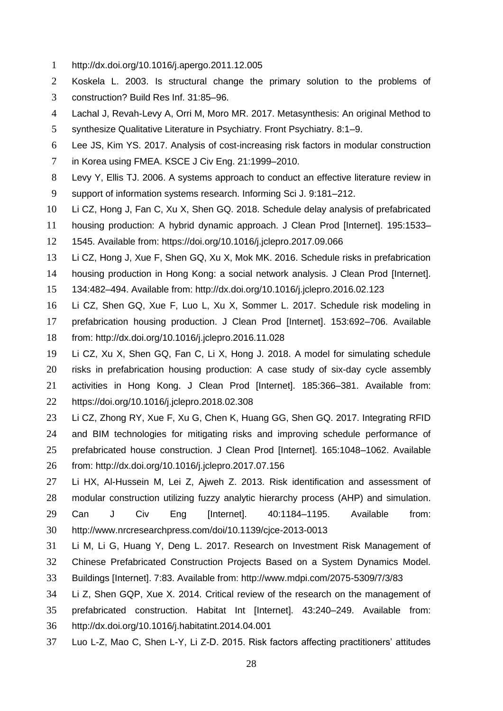- http://dx.doi.org/10.1016/j.apergo.2011.12.005
- Koskela L. 2003. Is structural change the primary solution to the problems of construction? Build Res Inf. 31:85–96.
- Lachal J, Revah-Levy A, Orri M, Moro MR. 2017. Metasynthesis: An original Method to
- synthesize Qualitative Literature in Psychiatry. Front Psychiatry. 8:1–9.
- Lee JS, Kim YS. 2017. Analysis of cost-increasing risk factors in modular construction
- in Korea using FMEA. KSCE J Civ Eng. 21:1999–2010.
- Levy Y, Ellis TJ. 2006. A systems approach to conduct an effective literature review in
- support of information systems research. Informing Sci J. 9:181–212.
- Li CZ, Hong J, Fan C, Xu X, Shen GQ. 2018. Schedule delay analysis of prefabricated
- housing production: A hybrid dynamic approach. J Clean Prod [Internet]. 195:1533–
- 1545. Available from: https://doi.org/10.1016/j.jclepro.2017.09.066
- Li CZ, Hong J, Xue F, Shen GQ, Xu X, Mok MK. 2016. Schedule risks in prefabrication
- housing production in Hong Kong: a social network analysis. J Clean Prod [Internet].
- 134:482–494. Available from: http://dx.doi.org/10.1016/j.jclepro.2016.02.123
- Li CZ, Shen GQ, Xue F, Luo L, Xu X, Sommer L. 2017. Schedule risk modeling in prefabrication housing production. J Clean Prod [Internet]. 153:692–706. Available from: http://dx.doi.org/10.1016/j.jclepro.2016.11.028
- Li CZ, Xu X, Shen GQ, Fan C, Li X, Hong J. 2018. A model for simulating schedule risks in prefabrication housing production: A case study of six-day cycle assembly activities in Hong Kong. J Clean Prod [Internet]. 185:366–381. Available from:
- https://doi.org/10.1016/j.jclepro.2018.02.308
- Li CZ, Zhong RY, Xue F, Xu G, Chen K, Huang GG, Shen GQ. 2017. Integrating RFID and BIM technologies for mitigating risks and improving schedule performance of prefabricated house construction. J Clean Prod [Internet]. 165:1048–1062. Available from: http://dx.doi.org/10.1016/j.jclepro.2017.07.156
- Li HX, Al-Hussein M, Lei Z, Ajweh Z. 2013. Risk identification and assessment of modular construction utilizing fuzzy analytic hierarchy process (AHP) and simulation. Can J Civ Eng [Internet]. 40:1184–1195. Available from: http://www.nrcresearchpress.com/doi/10.1139/cjce-2013-0013
- Li M, Li G, Huang Y, Deng L. 2017. Research on Investment Risk Management of
- Chinese Prefabricated Construction Projects Based on a System Dynamics Model.
- Buildings [Internet]. 7:83. Available from: http://www.mdpi.com/2075-5309/7/3/83
- Li Z, Shen GQP, Xue X. 2014. Critical review of the research on the management of prefabricated construction. Habitat Int [Internet]. 43:240–249. Available from: http://dx.doi.org/10.1016/j.habitatint.2014.04.001
- Luo L-Z, Mao C, Shen L-Y, Li Z-D. 2015. Risk factors affecting practitioners' attitudes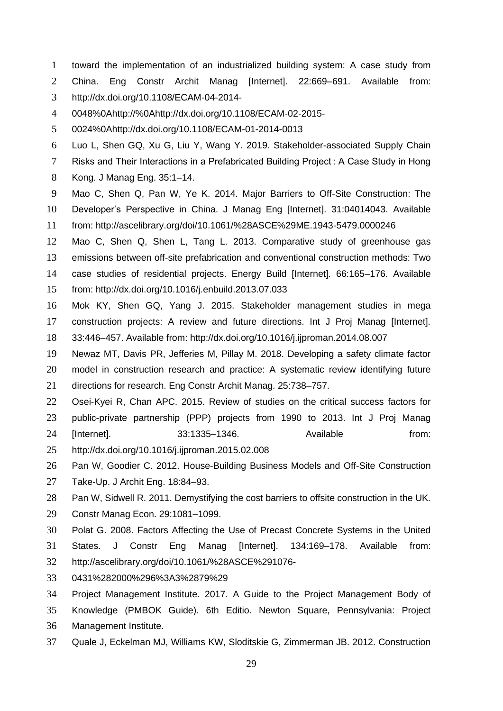- toward the implementation of an industrialized building system: A case study from
- China. Eng Constr Archit Manag [Internet]. 22:669–691. Available from:
- http://dx.doi.org/10.1108/ECAM-04-2014-
- 0048%0Ahttp://%0Ahttp://dx.doi.org/10.1108/ECAM-02-2015-
- 0024%0Ahttp://dx.doi.org/10.1108/ECAM-01-2014-0013
- Luo L, Shen GQ, Xu G, Liu Y, Wang Y. 2019. Stakeholder-associated Supply Chain
- Risks and Their Interactions in a Prefabricated Building Project : A Case Study in Hong
- Kong. J Manag Eng. 35:1–14.
- Mao C, Shen Q, Pan W, Ye K. 2014. Major Barriers to Off-Site Construction: The
- Developer's Perspective in China. J Manag Eng [Internet]. 31:04014043. Available
- from: http://ascelibrary.org/doi/10.1061/%28ASCE%29ME.1943-5479.0000246
- Mao C, Shen Q, Shen L, Tang L. 2013. Comparative study of greenhouse gas emissions between off-site prefabrication and conventional construction methods: Two case studies of residential projects. Energy Build [Internet]. 66:165–176. Available from: http://dx.doi.org/10.1016/j.enbuild.2013.07.033
- Mok KY, Shen GQ, Yang J. 2015. Stakeholder management studies in mega construction projects: A review and future directions. Int J Proj Manag [Internet]. 33:446–457. Available from: http://dx.doi.org/10.1016/j.ijproman.2014.08.007
- Newaz MT, Davis PR, Jefferies M, Pillay M. 2018. Developing a safety climate factor
- model in construction research and practice: A systematic review identifying future directions for research. Eng Constr Archit Manag. 25:738–757.
- Osei-Kyei R, Chan APC. 2015. Review of studies on the critical success factors for
- public-private partnership (PPP) projects from 1990 to 2013. Int J Proj Manag
- [Internet]. 33:1335–1346. Available from:
- http://dx.doi.org/10.1016/j.ijproman.2015.02.008
- Pan W, Goodier C. 2012. House-Building Business Models and Off-Site Construction
- Take-Up. J Archit Eng. 18:84–93.
- Pan W, Sidwell R. 2011. Demystifying the cost barriers to offsite construction in the UK.
- Constr Manag Econ. 29:1081–1099.
- Polat G. 2008. Factors Affecting the Use of Precast Concrete Systems in the United
- States. J Constr Eng Manag [Internet]. 134:169–178. Available from:
- http://ascelibrary.org/doi/10.1061/%28ASCE%291076-
- 0431%282000%296%3A3%2879%29
- Project Management Institute. 2017. A Guide to the Project Management Body of
- Knowledge (PMBOK Guide). 6th Editio. Newton Square, Pennsylvania: Project Management Institute.
- Quale J, Eckelman MJ, Williams KW, Sloditskie G, Zimmerman JB. 2012. Construction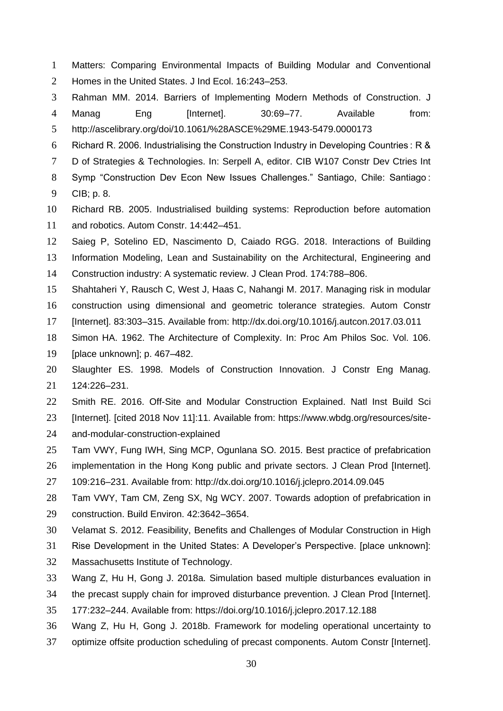- Matters: Comparing Environmental Impacts of Building Modular and Conventional
- Homes in the United States. J Ind Ecol. 16:243–253.
- Rahman MM. 2014. Barriers of Implementing Modern Methods of Construction. J 4 Manag Eng [Internet]. 30:69–77. Available from:
- http://ascelibrary.org/doi/10.1061/%28ASCE%29ME.1943-5479.0000173
- Richard R. 2006. Industrialising the Construction Industry in Developing Countries : R &
- 7 D of Strategies & Technologies. In: Serpell A, editor. CIB W107 Constr Dev Ctries Int
- Symp "Construction Dev Econ New Issues Challenges." Santiago, Chile: Santiago :
- CIB; p. 8.
- Richard RB. 2005. Industrialised building systems: Reproduction before automation and robotics. Autom Constr. 14:442–451.
- Saieg P, Sotelino ED, Nascimento D, Caiado RGG. 2018. Interactions of Building
- Information Modeling, Lean and Sustainability on the Architectural, Engineering and
- Construction industry: A systematic review. J Clean Prod. 174:788–806.
- Shahtaheri Y, Rausch C, West J, Haas C, Nahangi M. 2017. Managing risk in modular
- construction using dimensional and geometric tolerance strategies. Autom Constr
- [Internet]. 83:303–315. Available from: http://dx.doi.org/10.1016/j.autcon.2017.03.011
- Simon HA. 1962. The Architecture of Complexity. In: Proc Am Philos Soc. Vol. 106.
- [place unknown]; p. 467–482.
- Slaughter ES. 1998. Models of Construction Innovation. J Constr Eng Manag. 124:226–231.
- Smith RE. 2016. Off-Site and Modular Construction Explained. Natl Inst Build Sci
- [Internet]. [cited 2018 Nov 11]:11. Available from: https://www.wbdg.org/resources/site-
- and-modular-construction-explained
- Tam VWY, Fung IWH, Sing MCP, Ogunlana SO. 2015. Best practice of prefabrication
- implementation in the Hong Kong public and private sectors. J Clean Prod [Internet].
- 109:216–231. Available from: http://dx.doi.org/10.1016/j.jclepro.2014.09.045
- Tam VWY, Tam CM, Zeng SX, Ng WCY. 2007. Towards adoption of prefabrication in construction. Build Environ. 42:3642–3654.
- Velamat S. 2012. Feasibility, Benefits and Challenges of Modular Construction in High
- Rise Development in the United States: A Developer's Perspective. [place unknown]:
- Massachusetts Institute of Technology.
- Wang Z, Hu H, Gong J. 2018a. Simulation based multiple disturbances evaluation in
- the precast supply chain for improved disturbance prevention. J Clean Prod [Internet].
- 177:232–244. Available from: https://doi.org/10.1016/j.jclepro.2017.12.188
- Wang Z, Hu H, Gong J. 2018b. Framework for modeling operational uncertainty to
- optimize offsite production scheduling of precast components. Autom Constr [Internet].